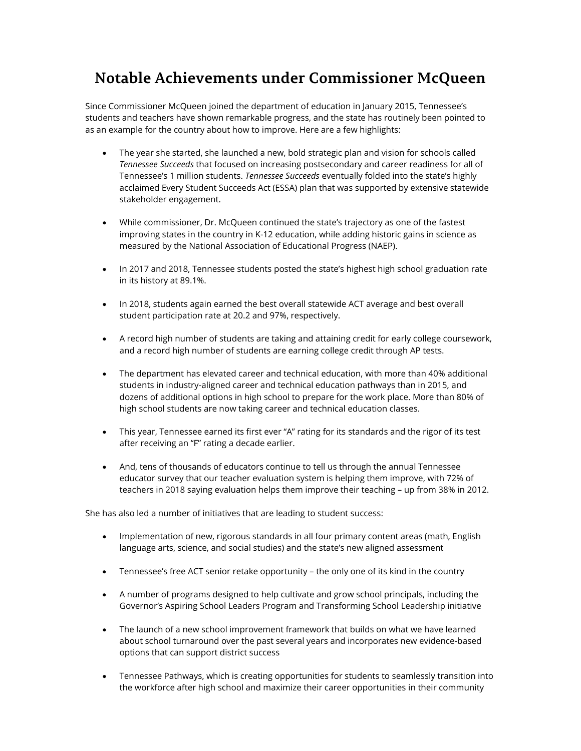## **Notable Achievements under Commissioner McQueen**

 Since Commissioner McQueen joined the department of education in January 2015, Tennessee's students and teachers have shown remarkable progress, and the state has routinely been pointed to as an example for the country about how to improve. Here are a few highlights:

- • The year she started, she launched a new, bold strategic plan and vision for schools called  *Tennessee Succeeds* that focused on increasing postsecondary and career readiness for all of Tennessee's 1 million students. *Tennessee Succeeds* eventually folded into the state's highly acclaimed Every Student Succeeds Act (ESSA) plan that was supported by extensive statewide stakeholder engagement.
- • While commissioner, Dr. McQueen continued the state's trajectory as one of the fastest improving states in the country in K-12 education, while adding historic gains in science as measured by the National Association of Educational Progress (NAEP).
- • In 2017 and 2018, Tennessee students posted the state's highest high school graduation rate in its history at 89.1%.
- • In 2018, students again earned the best overall statewide ACT average and best overall student participation rate at 20.2 and 97%, respectively.
- • A record high number of students are taking and attaining credit for early college coursework, and a record high number of students are earning college credit through AP tests.
- • The department has elevated career and technical education, with more than 40% additional students in industry-aligned career and technical education pathways than in 2015, and dozens of additional options in high school to prepare for the work place. More than 80% of high school students are now taking career and technical education classes.
- • This year, Tennessee earned its first ever "A" rating for its standards and the rigor of its test after receiving an "F" rating a decade earlier.
- • And, tens of thousands of educators continue to tell us through the annual Tennessee educator survey that our teacher evaluation system is helping them improve, with 72% of teachers in 2018 saying evaluation helps them improve their teaching – up from 38% in 2012.

She has also led a number of initiatives that are leading to student success:

- • Implementation of new, rigorous standards in all four primary content areas (math, English language arts, science, and social studies) and the state's new aligned assessment
- Tennessee's free ACT senior retake opportunity the only one of its kind in the country
- • A number of programs designed to help cultivate and grow school principals, including the Governor's Aspiring School Leaders Program and Transforming School Leadership initiative
- • The launch of a new school improvement framework that builds on what we have learned about school turnaround over the past several years and incorporates new evidence-based options that can support district success
- • Tennessee Pathways, which is creating opportunities for students to seamlessly transition into the workforce after high school and maximize their career opportunities in their community